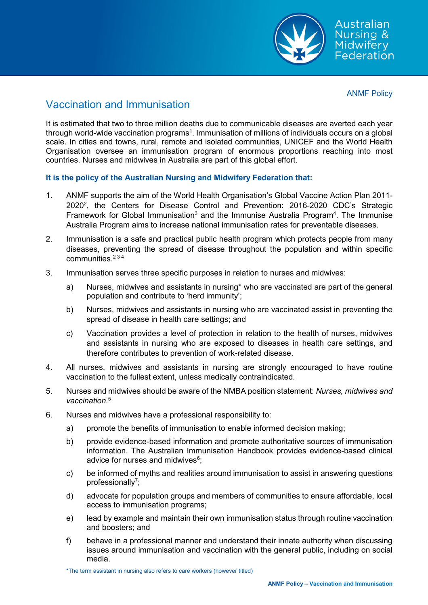

Australian Nursing & Nursing<br>Midwifery<br>Federation

ANMF Policy

## Vaccination and Immunisation

It is estimated that two to three million deaths due to communicable diseases are averted each year through world-wide vaccination programs $^{\rm 1}$ . Immunisation of millions of individuals occurs on a global  $\,$ scale. In cities and towns, rural, remote and isolated communities, UNICEF and the World Health Organisation oversee an immunisation program of enormous proportions reaching into most countries. Nurses and midwives in Australia are part of this global effort.

**It is the policy of the Australian Nursing and Midwifery Federation that:**

- 1. ANMF supports the aim of the World Health Organisation's Global Vaccine Action Plan 2011- 2020<sup>2</sup>, the Centers for Disease Control and Prevention: 2016-2020 CDC's Strategic Framework for Global Immunisation<sup>3</sup> and the Immunise Australia Program<sup>4</sup>. The Immunise Australia Program aims to increase national immunisation rates for preventable diseases.
- 2. Immunisation is a safe and practical public health program which protects people from many diseases, preventing the spread of disease throughout the population and within specific communities  $234$
- 3. Immunisation serves three specific purposes in relation to nurses and midwives:
	- a) Nurses, midwives and assistants in nursing\* who are vaccinated are part of the general population and contribute to 'herd immunity';
	- b) Nurses, midwives and assistants in nursing who are vaccinated assist in preventing the spread of disease in health care settings; and
	- c) Vaccination provides a level of protection in relation to the health of nurses, midwives and assistants in nursing who are exposed to diseases in health care settings, and therefore contributes to prevention of work-related disease.
- 4. All nurses, midwives and assistants in nursing are strongly encouraged to have routine vaccination to the fullest extent, unless medically contraindicated.
- 5. Nurses and midwives should be aware of the NMBA position statement: *Nurses, midwives and vaccination*. 5
- 6. Nurses and midwives have a professional responsibility to:
	- a) promote the benefits of immunisation to enable informed decision making;
	- b) provide evidence-based information and promote authoritative sources of immunisation information. The Australian Immunisation Handbook provides evidence-based clinical advice for nurses and midwives $^6;$
	- c) be informed of myths and realities around immunisation to assist in answering questions professionally<sup>7</sup>;
	- d) advocate for population groups and members of communities to ensure affordable, local access to immunisation programs;
	- e) lead by example and maintain their own immunisation status through routine vaccination and boosters; and
	- f) behave in a professional manner and understand their innate authority when discussing issues around immunisation and vaccination with the general public, including on social media.